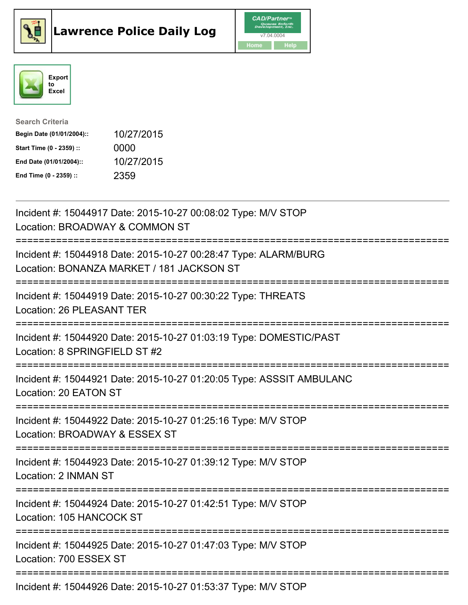





| <b>Search Criteria</b>    |            |
|---------------------------|------------|
| Begin Date (01/01/2004):: | 10/27/2015 |
| Start Time (0 - 2359) ::  | 0000       |
| End Date (01/01/2004)::   | 10/27/2015 |
| End Time (0 - 2359) ::    | 2359       |

| Incident #: 15044917 Date: 2015-10-27 00:08:02 Type: M/V STOP<br>Location: BROADWAY & COMMON ST                                                |
|------------------------------------------------------------------------------------------------------------------------------------------------|
| Incident #: 15044918 Date: 2015-10-27 00:28:47 Type: ALARM/BURG<br>Location: BONANZA MARKET / 181 JACKSON ST                                   |
| Incident #: 15044919 Date: 2015-10-27 00:30:22 Type: THREATS<br>Location: 26 PLEASANT TER                                                      |
| Incident #: 15044920 Date: 2015-10-27 01:03:19 Type: DOMESTIC/PAST<br>Location: 8 SPRINGFIELD ST #2                                            |
| Incident #: 15044921 Date: 2015-10-27 01:20:05 Type: ASSSIT AMBULANC<br>Location: 20 EATON ST                                                  |
| Incident #: 15044922 Date: 2015-10-27 01:25:16 Type: M/V STOP<br>Location: BROADWAY & ESSEX ST<br>==========================<br>============== |
| Incident #: 15044923 Date: 2015-10-27 01:39:12 Type: M/V STOP<br>Location: 2 INMAN ST                                                          |
| Incident #: 15044924 Date: 2015-10-27 01:42:51 Type: M/V STOP<br>Location: 105 HANCOCK ST<br>====================                              |
| Incident #: 15044925 Date: 2015-10-27 01:47:03 Type: M/V STOP<br>Location: 700 ESSEX ST                                                        |
| Incident #: 15044926 Date: 2015-10-27 01:53:37 Type: M/V STOP                                                                                  |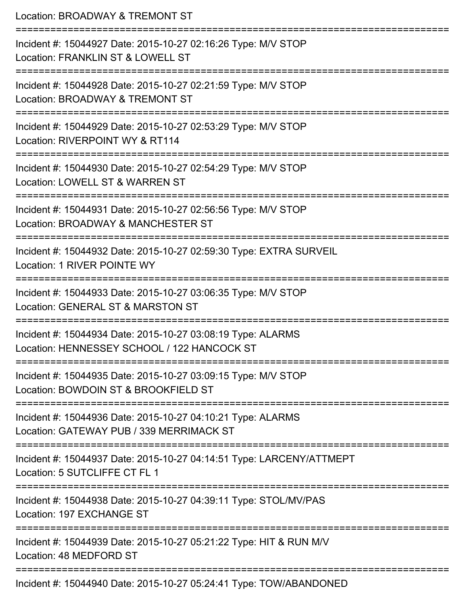| Location: BROADWAY & TREMONT ST<br>:=====================                                                                             |
|---------------------------------------------------------------------------------------------------------------------------------------|
| Incident #: 15044927 Date: 2015-10-27 02:16:26 Type: M/V STOP<br>Location: FRANKLIN ST & LOWELL ST<br>.------------------------       |
| Incident #: 15044928 Date: 2015-10-27 02:21:59 Type: M/V STOP<br>Location: BROADWAY & TREMONT ST                                      |
| Incident #: 15044929 Date: 2015-10-27 02:53:29 Type: M/V STOP<br>Location: RIVERPOINT WY & RT114                                      |
| Incident #: 15044930 Date: 2015-10-27 02:54:29 Type: M/V STOP<br>Location: LOWELL ST & WARREN ST                                      |
| Incident #: 15044931 Date: 2015-10-27 02:56:56 Type: M/V STOP<br>Location: BROADWAY & MANCHESTER ST<br>------------------------------ |
| Incident #: 15044932 Date: 2015-10-27 02:59:30 Type: EXTRA SURVEIL<br>Location: 1 RIVER POINTE WY                                     |
| Incident #: 15044933 Date: 2015-10-27 03:06:35 Type: M/V STOP<br>Location: GENERAL ST & MARSTON ST                                    |
| Incident #: 15044934 Date: 2015-10-27 03:08:19 Type: ALARMS<br>Location: HENNESSEY SCHOOL / 122 HANCOCK ST                            |
| Incident #: 15044935 Date: 2015-10-27 03:09:15 Type: M/V STOP<br>Location: BOWDOIN ST & BROOKFIELD ST                                 |
| Incident #: 15044936 Date: 2015-10-27 04:10:21 Type: ALARMS<br>Location: GATEWAY PUB / 339 MERRIMACK ST                               |
| Incident #: 15044937 Date: 2015-10-27 04:14:51 Type: LARCENY/ATTMEPT<br>Location: 5 SUTCLIFFE CT FL 1                                 |
| Incident #: 15044938 Date: 2015-10-27 04:39:11 Type: STOL/MV/PAS<br>Location: 197 EXCHANGE ST                                         |
| Incident #: 15044939 Date: 2015-10-27 05:21:22 Type: HIT & RUN M/V<br>Location: 48 MEDFORD ST                                         |
| Incident #: 15044940 Date: 2015-10-27 05:24:41 Type: TOW/ABANDONED                                                                    |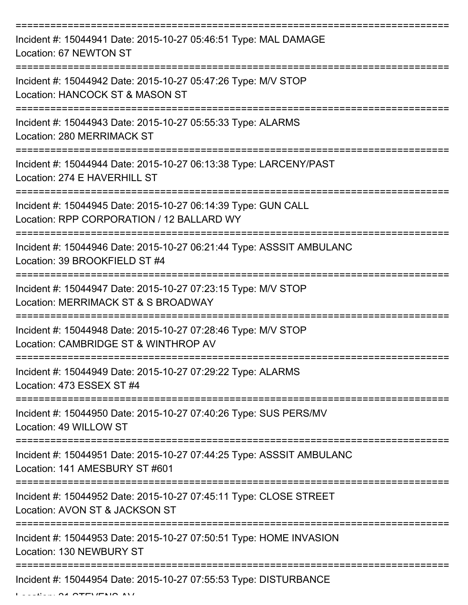| Incident #: 15044941 Date: 2015-10-27 05:46:51 Type: MAL DAMAGE<br>Location: 67 NEWTON ST                                      |
|--------------------------------------------------------------------------------------------------------------------------------|
| Incident #: 15044942 Date: 2015-10-27 05:47:26 Type: M/V STOP<br>Location: HANCOCK ST & MASON ST                               |
| Incident #: 15044943 Date: 2015-10-27 05:55:33 Type: ALARMS<br><b>Location: 280 MERRIMACK ST</b>                               |
| Incident #: 15044944 Date: 2015-10-27 06:13:38 Type: LARCENY/PAST<br>Location: 274 E HAVERHILL ST                              |
| Incident #: 15044945 Date: 2015-10-27 06:14:39 Type: GUN CALL<br>Location: RPP CORPORATION / 12 BALLARD WY<br>---------------- |
| Incident #: 15044946 Date: 2015-10-27 06:21:44 Type: ASSSIT AMBULANC<br>Location: 39 BROOKFIELD ST #4                          |
| Incident #: 15044947 Date: 2015-10-27 07:23:15 Type: M/V STOP<br>Location: MERRIMACK ST & S BROADWAY                           |
| Incident #: 15044948 Date: 2015-10-27 07:28:46 Type: M/V STOP<br>Location: CAMBRIDGE ST & WINTHROP AV                          |
| Incident #: 15044949 Date: 2015-10-27 07:29:22 Type: ALARMS<br>Location: 473 ESSEX ST #4                                       |
| Incident #: 15044950 Date: 2015-10-27 07:40:26 Type: SUS PERS/MV<br>Location: 49 WILLOW ST                                     |
| Incident #: 15044951 Date: 2015-10-27 07:44:25 Type: ASSSIT AMBULANC<br>Location: 141 AMESBURY ST #601                         |
| Incident #: 15044952 Date: 2015-10-27 07:45:11 Type: CLOSE STREET<br>Location: AVON ST & JACKSON ST                            |
| Incident #: 15044953 Date: 2015-10-27 07:50:51 Type: HOME INVASION<br>Location: 130 NEWBURY ST                                 |
| Incident #: 15044954 Date: 2015-10-27 07:55:53 Type: DISTURBANCE                                                               |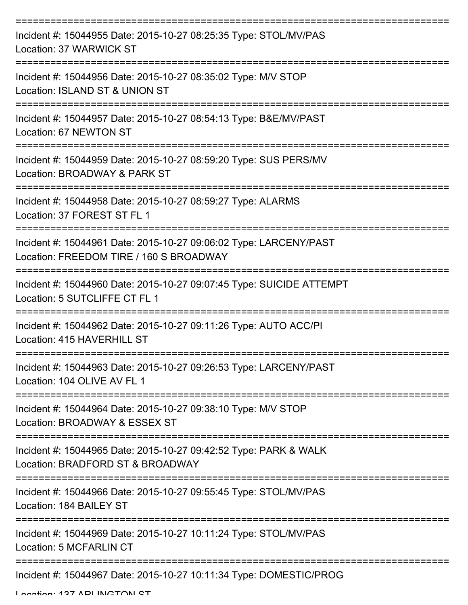| Incident #: 15044955 Date: 2015-10-27 08:25:35 Type: STOL/MV/PAS<br>Location: 37 WARWICK ST                  |
|--------------------------------------------------------------------------------------------------------------|
| Incident #: 15044956 Date: 2015-10-27 08:35:02 Type: M/V STOP<br>Location: ISLAND ST & UNION ST              |
| Incident #: 15044957 Date: 2015-10-27 08:54:13 Type: B&E/MV/PAST<br>Location: 67 NEWTON ST                   |
| Incident #: 15044959 Date: 2015-10-27 08:59:20 Type: SUS PERS/MV<br>Location: BROADWAY & PARK ST             |
| Incident #: 15044958 Date: 2015-10-27 08:59:27 Type: ALARMS<br>Location: 37 FOREST ST FL 1                   |
| Incident #: 15044961 Date: 2015-10-27 09:06:02 Type: LARCENY/PAST<br>Location: FREEDOM TIRE / 160 S BROADWAY |
| Incident #: 15044960 Date: 2015-10-27 09:07:45 Type: SUICIDE ATTEMPT<br>Location: 5 SUTCLIFFE CT FL 1        |
| Incident #: 15044962 Date: 2015-10-27 09:11:26 Type: AUTO ACC/PI<br>Location: 415 HAVERHILL ST               |
| Incident #: 15044963 Date: 2015-10-27 09:26:53 Type: LARCENY/PAST<br>Location: 104 OLIVE AV FL 1             |
| Incident #: 15044964 Date: 2015-10-27 09:38:10 Type: M/V STOP<br>Location: BROADWAY & ESSEX ST               |
| Incident #: 15044965 Date: 2015-10-27 09:42:52 Type: PARK & WALK<br>Location: BRADFORD ST & BROADWAY         |
| Incident #: 15044966 Date: 2015-10-27 09:55:45 Type: STOL/MV/PAS<br>Location: 184 BAILEY ST                  |
| Incident #: 15044969 Date: 2015-10-27 10:11:24 Type: STOL/MV/PAS<br>Location: 5 MCFARLIN CT                  |
| Incident #: 15044967 Date: 2015-10-27 10:11:34 Type: DOMESTIC/PROG                                           |

Location: 127 ADI INCTON ST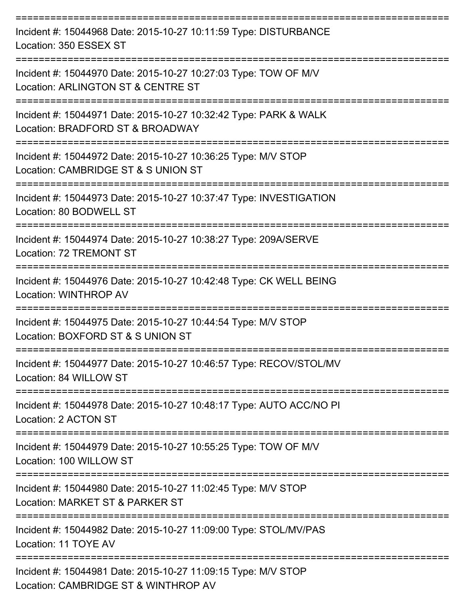| Incident #: 15044968 Date: 2015-10-27 10:11:59 Type: DISTURBANCE<br>Location: 350 ESSEX ST                         |
|--------------------------------------------------------------------------------------------------------------------|
| Incident #: 15044970 Date: 2015-10-27 10:27:03 Type: TOW OF M/V<br>Location: ARLINGTON ST & CENTRE ST              |
| Incident #: 15044971 Date: 2015-10-27 10:32:42 Type: PARK & WALK<br>Location: BRADFORD ST & BROADWAY               |
| Incident #: 15044972 Date: 2015-10-27 10:36:25 Type: M/V STOP<br>Location: CAMBRIDGE ST & S UNION ST               |
| Incident #: 15044973 Date: 2015-10-27 10:37:47 Type: INVESTIGATION<br>Location: 80 BODWELL ST                      |
| Incident #: 15044974 Date: 2015-10-27 10:38:27 Type: 209A/SERVE<br>Location: 72 TREMONT ST                         |
| Incident #: 15044976 Date: 2015-10-27 10:42:48 Type: CK WELL BEING<br>Location: WINTHROP AV                        |
| Incident #: 15044975 Date: 2015-10-27 10:44:54 Type: M/V STOP<br>Location: BOXFORD ST & S UNION ST                 |
| Incident #: 15044977 Date: 2015-10-27 10:46:57 Type: RECOV/STOL/MV<br>Location: 84 WILLOW ST                       |
| :==================<br>Incident #: 15044978 Date: 2015-10-27 10:48:17 Type: AUTO ACC/NO PI<br>Location: 2 ACTON ST |
| Incident #: 15044979 Date: 2015-10-27 10:55:25 Type: TOW OF M/V<br>Location: 100 WILLOW ST                         |
| Incident #: 15044980 Date: 2015-10-27 11:02:45 Type: M/V STOP<br>Location: MARKET ST & PARKER ST                   |
| Incident #: 15044982 Date: 2015-10-27 11:09:00 Type: STOL/MV/PAS<br>Location: 11 TOYE AV                           |
| Incident #: 15044981 Date: 2015-10-27 11:09:15 Type: M/V STOP<br>Location: CAMBRIDGE ST & WINTHROP AV              |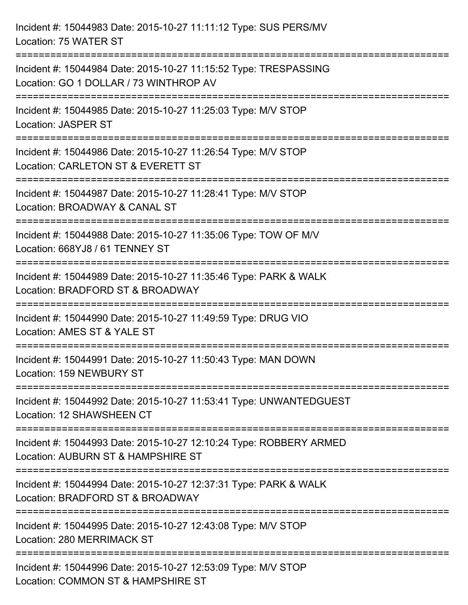| Incident #: 15044983 Date: 2015-10-27 11:11:12 Type: SUS PERS/MV<br>Location: 75 WATER ST                                          |  |
|------------------------------------------------------------------------------------------------------------------------------------|--|
| Incident #: 15044984 Date: 2015-10-27 11:15:52 Type: TRESPASSING<br>Location: GO 1 DOLLAR / 73 WINTHROP AV                         |  |
| Incident #: 15044985 Date: 2015-10-27 11:25:03 Type: M/V STOP<br><b>Location: JASPER ST</b><br>================================    |  |
| Incident #: 15044986 Date: 2015-10-27 11:26:54 Type: M/V STOP<br>Location: CARLETON ST & EVERETT ST                                |  |
| Incident #: 15044987 Date: 2015-10-27 11:28:41 Type: M/V STOP<br>Location: BROADWAY & CANAL ST                                     |  |
| ============================<br>Incident #: 15044988 Date: 2015-10-27 11:35:06 Type: TOW OF M/V<br>Location: 668YJ8 / 61 TENNEY ST |  |
| Incident #: 15044989 Date: 2015-10-27 11:35:46 Type: PARK & WALK<br>Location: BRADFORD ST & BROADWAY                               |  |
| Incident #: 15044990 Date: 2015-10-27 11:49:59 Type: DRUG VIO<br>Location: AMES ST & YALE ST                                       |  |
| Incident #: 15044991 Date: 2015-10-27 11:50:43 Type: MAN DOWN<br>Location: 159 NEWBURY ST                                          |  |
| Incident #: 15044992 Date: 2015-10-27 11:53:41 Type: UNWANTEDGUEST<br>Location: 12 SHAWSHEEN CT                                    |  |
| Incident #: 15044993 Date: 2015-10-27 12:10:24 Type: ROBBERY ARMED<br>Location: AUBURN ST & HAMPSHIRE ST                           |  |
| Incident #: 15044994 Date: 2015-10-27 12:37:31 Type: PARK & WALK<br>Location: BRADFORD ST & BROADWAY                               |  |
| Incident #: 15044995 Date: 2015-10-27 12:43:08 Type: M/V STOP<br>Location: 280 MERRIMACK ST                                        |  |
| Incident #: 15044996 Date: 2015-10-27 12:53:09 Type: M/V STOP<br>Location: COMMON ST & HAMPSHIRE ST                                |  |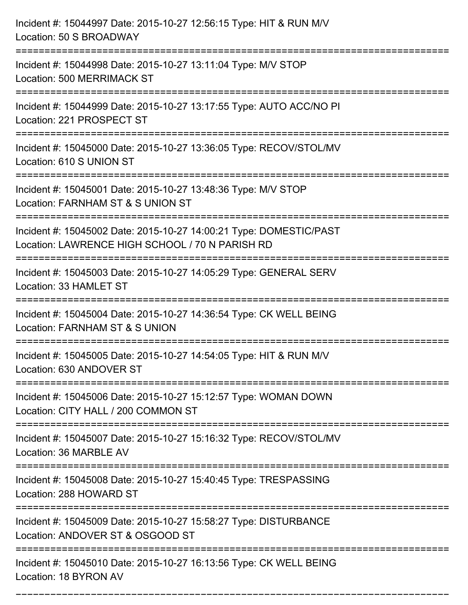| Incident #: 15044997 Date: 2015-10-27 12:56:15 Type: HIT & RUN M/V<br>Location: 50 S BROADWAY                             |
|---------------------------------------------------------------------------------------------------------------------------|
| Incident #: 15044998 Date: 2015-10-27 13:11:04 Type: M/V STOP<br>Location: 500 MERRIMACK ST                               |
| Incident #: 15044999 Date: 2015-10-27 13:17:55 Type: AUTO ACC/NO PI<br>Location: 221 PROSPECT ST                          |
| Incident #: 15045000 Date: 2015-10-27 13:36:05 Type: RECOV/STOL/MV<br>Location: 610 S UNION ST                            |
| Incident #: 15045001 Date: 2015-10-27 13:48:36 Type: M/V STOP<br>Location: FARNHAM ST & S UNION ST<br>=================== |
| Incident #: 15045002 Date: 2015-10-27 14:00:21 Type: DOMESTIC/PAST<br>Location: LAWRENCE HIGH SCHOOL / 70 N PARISH RD     |
| Incident #: 15045003 Date: 2015-10-27 14:05:29 Type: GENERAL SERV<br>Location: 33 HAMLET ST<br>=======================    |
| Incident #: 15045004 Date: 2015-10-27 14:36:54 Type: CK WELL BEING<br>Location: FARNHAM ST & S UNION                      |
| Incident #: 15045005 Date: 2015-10-27 14:54:05 Type: HIT & RUN M/V<br>Location: 630 ANDOVER ST<br>================        |
| Incident #: 15045006 Date: 2015-10-27 15:12:57 Type: WOMAN DOWN<br>Location: CITY HALL / 200 COMMON ST                    |
| Incident #: 15045007 Date: 2015-10-27 15:16:32 Type: RECOV/STOL/MV<br>Location: 36 MARBLE AV                              |
| Incident #: 15045008 Date: 2015-10-27 15:40:45 Type: TRESPASSING<br>Location: 288 HOWARD ST                               |
| Incident #: 15045009 Date: 2015-10-27 15:58:27 Type: DISTURBANCE<br>Location: ANDOVER ST & OSGOOD ST                      |
| Incident #: 15045010 Date: 2015-10-27 16:13:56 Type: CK WELL BEING<br>Location: 18 BYRON AV                               |

===========================================================================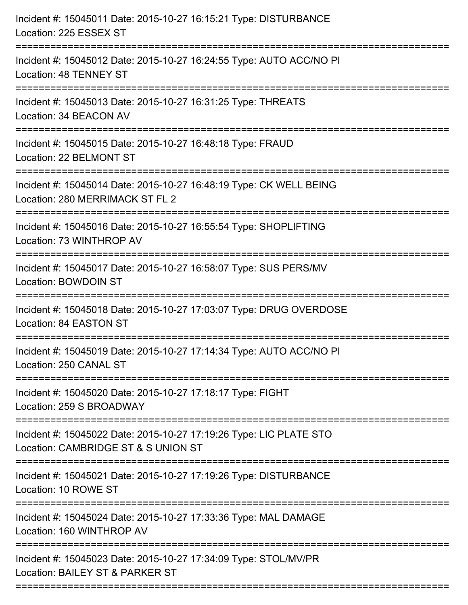| Incident #: 15045011 Date: 2015-10-27 16:15:21 Type: DISTURBANCE<br>Location: 225 ESSEX ST<br>====================== |
|----------------------------------------------------------------------------------------------------------------------|
| Incident #: 15045012 Date: 2015-10-27 16:24:55 Type: AUTO ACC/NO PI<br>Location: 48 TENNEY ST                        |
| Incident #: 15045013 Date: 2015-10-27 16:31:25 Type: THREATS<br>Location: 34 BEACON AV                               |
| Incident #: 15045015 Date: 2015-10-27 16:48:18 Type: FRAUD<br>Location: 22 BELMONT ST                                |
| Incident #: 15045014 Date: 2015-10-27 16:48:19 Type: CK WELL BEING<br>Location: 280 MERRIMACK ST FL 2                |
| Incident #: 15045016 Date: 2015-10-27 16:55:54 Type: SHOPLIFTING<br>Location: 73 WINTHROP AV                         |
| Incident #: 15045017 Date: 2015-10-27 16:58:07 Type: SUS PERS/MV<br><b>Location: BOWDOIN ST</b>                      |
| Incident #: 15045018 Date: 2015-10-27 17:03:07 Type: DRUG OVERDOSE<br>Location: 84 EASTON ST                         |
| Incident #: 15045019 Date: 2015-10-27 17:14:34 Type: AUTO ACC/NO PI<br>Location: 250 CANAL ST                        |
| Incident #: 15045020 Date: 2015-10-27 17:18:17 Type: FIGHT<br>Location: 259 S BROADWAY                               |
| Incident #: 15045022 Date: 2015-10-27 17:19:26 Type: LIC PLATE STO<br>Location: CAMBRIDGE ST & S UNION ST            |
| Incident #: 15045021 Date: 2015-10-27 17:19:26 Type: DISTURBANCE<br>Location: 10 ROWE ST                             |
| Incident #: 15045024 Date: 2015-10-27 17:33:36 Type: MAL DAMAGE<br>Location: 160 WINTHROP AV                         |
| Incident #: 15045023 Date: 2015-10-27 17:34:09 Type: STOL/MV/PR<br>Location: BAILEY ST & PARKER ST                   |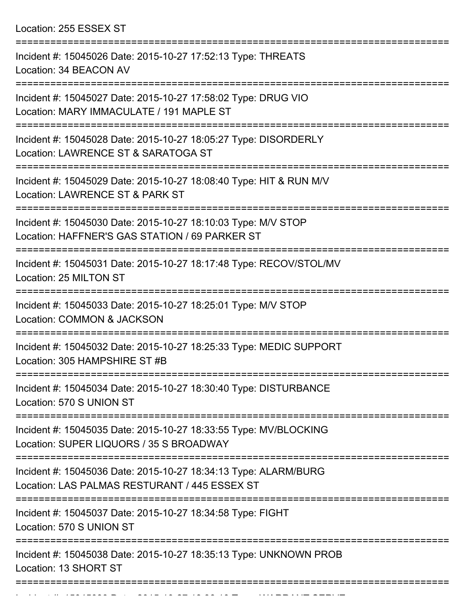Location: 255 ESSEX ST

| Incident #: 15045026 Date: 2015-10-27 17:52:13 Type: THREATS<br>Location: 34 BEACON AV                           |
|------------------------------------------------------------------------------------------------------------------|
| Incident #: 15045027 Date: 2015-10-27 17:58:02 Type: DRUG VIO<br>Location: MARY IMMACULATE / 191 MAPLE ST        |
| Incident #: 15045028 Date: 2015-10-27 18:05:27 Type: DISORDERLY<br>Location: LAWRENCE ST & SARATOGA ST           |
| Incident #: 15045029 Date: 2015-10-27 18:08:40 Type: HIT & RUN M/V<br>Location: LAWRENCE ST & PARK ST            |
| Incident #: 15045030 Date: 2015-10-27 18:10:03 Type: M/V STOP<br>Location: HAFFNER'S GAS STATION / 69 PARKER ST  |
| Incident #: 15045031 Date: 2015-10-27 18:17:48 Type: RECOV/STOL/MV<br>Location: 25 MILTON ST                     |
| Incident #: 15045033 Date: 2015-10-27 18:25:01 Type: M/V STOP<br><b>Location: COMMON &amp; JACKSON</b>           |
| Incident #: 15045032 Date: 2015-10-27 18:25:33 Type: MEDIC SUPPORT<br>Location: 305 HAMPSHIRE ST #B              |
| Incident #: 15045034 Date: 2015-10-27 18:30:40 Type: DISTURBANCE<br>Location: 570 S UNION ST                     |
| Incident #: 15045035 Date: 2015-10-27 18:33:55 Type: MV/BLOCKING<br>Location: SUPER LIQUORS / 35 S BROADWAY      |
| Incident #: 15045036 Date: 2015-10-27 18:34:13 Type: ALARM/BURG<br>Location: LAS PALMAS RESTURANT / 445 ESSEX ST |
| Incident #: 15045037 Date: 2015-10-27 18:34:58 Type: FIGHT<br>Location: 570 S UNION ST                           |
| Incident #: 15045038 Date: 2015-10-27 18:35:13 Type: UNKNOWN PROB<br>Location: 13 SHORT ST                       |
|                                                                                                                  |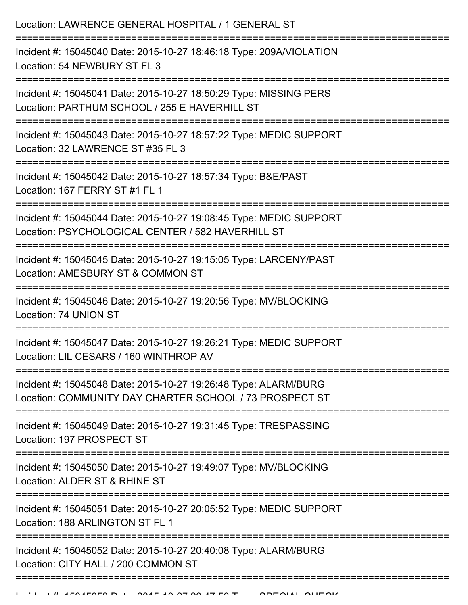| Location: LAWRENCE GENERAL HOSPITAL / 1 GENERAL ST                                                                                                        |
|-----------------------------------------------------------------------------------------------------------------------------------------------------------|
| Incident #: 15045040 Date: 2015-10-27 18:46:18 Type: 209A/VIOLATION<br>Location: 54 NEWBURY ST FL 3                                                       |
| Incident #: 15045041 Date: 2015-10-27 18:50:29 Type: MISSING PERS<br>Location: PARTHUM SCHOOL / 255 E HAVERHILL ST                                        |
| Incident #: 15045043 Date: 2015-10-27 18:57:22 Type: MEDIC SUPPORT<br>Location: 32 LAWRENCE ST #35 FL 3                                                   |
| Incident #: 15045042 Date: 2015-10-27 18:57:34 Type: B&E/PAST<br>Location: 167 FERRY ST #1 FL 1                                                           |
| Incident #: 15045044 Date: 2015-10-27 19:08:45 Type: MEDIC SUPPORT<br>Location: PSYCHOLOGICAL CENTER / 582 HAVERHILL ST<br>============================== |
| Incident #: 15045045 Date: 2015-10-27 19:15:05 Type: LARCENY/PAST<br>Location: AMESBURY ST & COMMON ST                                                    |
| Incident #: 15045046 Date: 2015-10-27 19:20:56 Type: MV/BLOCKING<br>Location: 74 UNION ST                                                                 |
| Incident #: 15045047 Date: 2015-10-27 19:26:21 Type: MEDIC SUPPORT<br>Location: LIL CESARS / 160 WINTHROP AV                                              |
| Incident #: 15045048 Date: 2015-10-27 19:26:48 Type: ALARM/BURG<br>Location: COMMUNITY DAY CHARTER SCHOOL / 73 PROSPECT ST                                |
| Incident #: 15045049 Date: 2015-10-27 19:31:45 Type: TRESPASSING<br>Location: 197 PROSPECT ST                                                             |
| Incident #: 15045050 Date: 2015-10-27 19:49:07 Type: MV/BLOCKING<br>Location: ALDER ST & RHINE ST                                                         |
| Incident #: 15045051 Date: 2015-10-27 20:05:52 Type: MEDIC SUPPORT<br>Location: 188 ARLINGTON ST FL 1                                                     |
| Incident #: 15045052 Date: 2015-10-27 20:40:08 Type: ALARM/BURG<br>Location: CITY HALL / 200 COMMON ST                                                    |
|                                                                                                                                                           |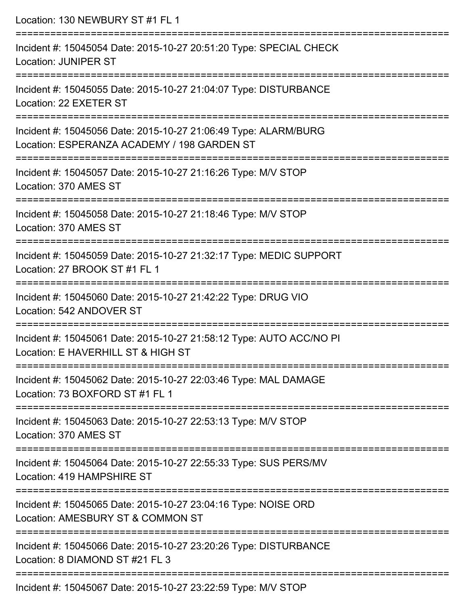| Location: 130 NEWBURY ST #1 FL 1                                                                                                                |
|-------------------------------------------------------------------------------------------------------------------------------------------------|
| Incident #: 15045054 Date: 2015-10-27 20:51:20 Type: SPECIAL CHECK<br><b>Location: JUNIPER ST</b><br>=======================                    |
| Incident #: 15045055 Date: 2015-10-27 21:04:07 Type: DISTURBANCE<br>Location: 22 EXETER ST                                                      |
| Incident #: 15045056 Date: 2015-10-27 21:06:49 Type: ALARM/BURG<br>Location: ESPERANZA ACADEMY / 198 GARDEN ST                                  |
| =================================<br>Incident #: 15045057 Date: 2015-10-27 21:16:26 Type: M/V STOP<br>Location: 370 AMES ST                     |
| Incident #: 15045058 Date: 2015-10-27 21:18:46 Type: M/V STOP<br>Location: 370 AMES ST                                                          |
| Incident #: 15045059 Date: 2015-10-27 21:32:17 Type: MEDIC SUPPORT<br>Location: 27 BROOK ST #1 FL 1                                             |
| Incident #: 15045060 Date: 2015-10-27 21:42:22 Type: DRUG VIO<br>Location: 542 ANDOVER ST                                                       |
| ----------------------------------<br>Incident #: 15045061 Date: 2015-10-27 21:58:12 Type: AUTO ACC/NO PI<br>Location: E HAVERHILL ST & HIGH ST |
| ===================================<br>Incident #: 15045062 Date: 2015-10-27 22:03:46 Type: MAL DAMAGE<br>Location: 73 BOXFORD ST #1 FL 1       |
| Incident #: 15045063 Date: 2015-10-27 22:53:13 Type: M/V STOP<br>Location: 370 AMES ST                                                          |
| Incident #: 15045064 Date: 2015-10-27 22:55:33 Type: SUS PERS/MV<br>Location: 419 HAMPSHIRE ST                                                  |
| Incident #: 15045065 Date: 2015-10-27 23:04:16 Type: NOISE ORD<br>Location: AMESBURY ST & COMMON ST                                             |
| Incident #: 15045066 Date: 2015-10-27 23:20:26 Type: DISTURBANCE<br>Location: 8 DIAMOND ST #21 FL 3                                             |
| Incident #: 15045067 Date: 2015-10-27 23:22:59 Type: M/V STOP                                                                                   |